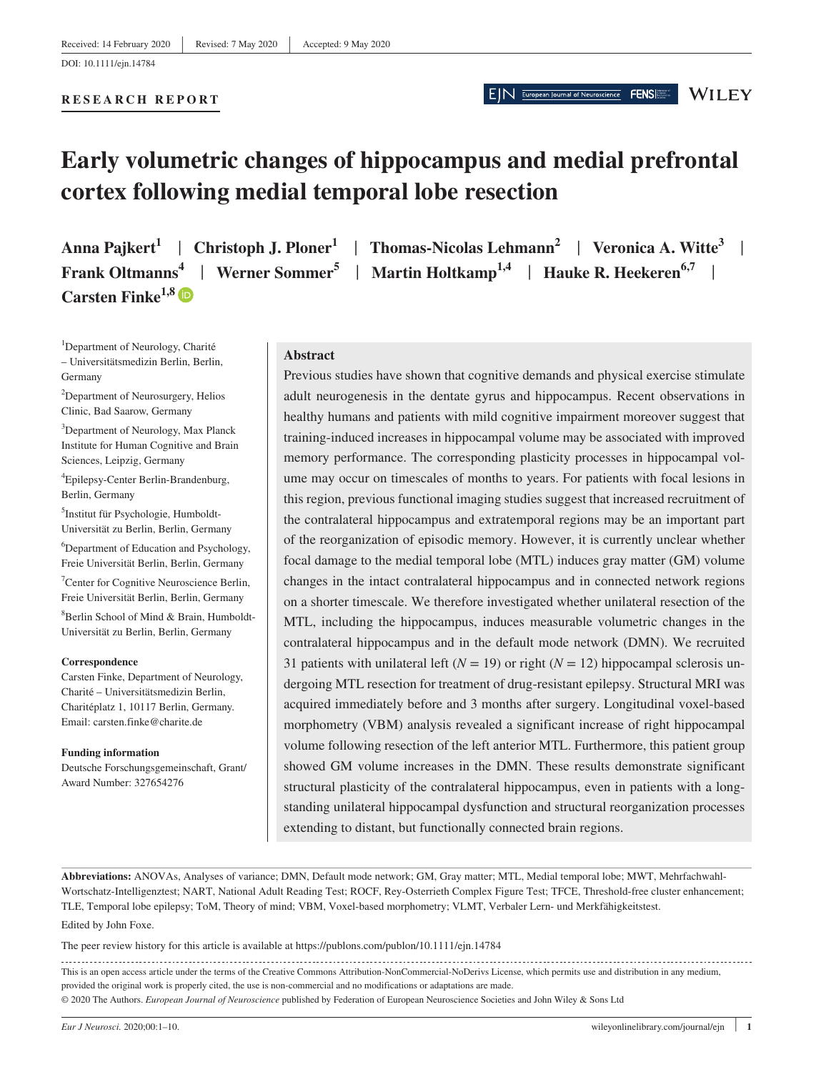**RESEARCH REPORT**

# **Early volumetric changes of hippocampus and medial prefrontal cortex following medial temporal lobe resection**

**Carsten Finke1,8**

**Anna Pajkert<sup>1</sup>** | **Christoph J. Ploner1** | **Thomas-Nicolas Lehmann2** | **Veronica A. Witte<sup>3</sup>** | **Frank Oltmanns**<sup>4</sup> | Werner Sommer<sup>5</sup> | Martin Holtkamp<sup>1,4</sup> | Hauke R. Heekeren<sup>6,7</sup> |

EIN European Journal of Neuroscience

FENS

**WILEY** 

<sup>1</sup>Department of Neurology, Charité – Universitätsmedizin Berlin, Berlin, Germany

<sup>2</sup>Department of Neurosurgery, Helios Clinic, Bad Saarow, Germany

3 Department of Neurology, Max Planck Institute for Human Cognitive and Brain Sciences, Leipzig, Germany

4 Epilepsy-Center Berlin-Brandenburg, Berlin, Germany

5 Institut für Psychologie, Humboldt-Universität zu Berlin, Berlin, Germany

6 Department of Education and Psychology, Freie Universität Berlin, Berlin, Germany

7 Center for Cognitive Neuroscience Berlin, Freie Universität Berlin, Berlin, Germany 8 Berlin School of Mind & Brain, Humboldt-Universität zu Berlin, Berlin, Germany

#### **Correspondence**

Carsten Finke, Department of Neurology, Charité – Universitätsmedizin Berlin, Charitéplatz 1, 10117 Berlin, Germany. Email: [carsten.finke@charite.de](mailto:carsten.finke@charite.de)

#### **Funding information**

Deutsche Forschungsgemeinschaft, Grant/ Award Number: 327654276

### **Abstract**

Previous studies have shown that cognitive demands and physical exercise stimulate adult neurogenesis in the dentate gyrus and hippocampus. Recent observations in healthy humans and patients with mild cognitive impairment moreover suggest that training-induced increases in hippocampal volume may be associated with improved memory performance. The corresponding plasticity processes in hippocampal volume may occur on timescales of months to years. For patients with focal lesions in this region, previous functional imaging studies suggest that increased recruitment of the contralateral hippocampus and extratemporal regions may be an important part of the reorganization of episodic memory. However, it is currently unclear whether focal damage to the medial temporal lobe (MTL) induces gray matter (GM) volume changes in the intact contralateral hippocampus and in connected network regions on a shorter timescale. We therefore investigated whether unilateral resection of the MTL, including the hippocampus, induces measurable volumetric changes in the contralateral hippocampus and in the default mode network (DMN). We recruited 31 patients with unilateral left  $(N = 19)$  or right  $(N = 12)$  hippocampal sclerosis undergoing MTL resection for treatment of drug-resistant epilepsy. Structural MRI was acquired immediately before and 3 months after surgery. Longitudinal voxel-based morphometry (VBM) analysis revealed a significant increase of right hippocampal volume following resection of the left anterior MTL. Furthermore, this patient group showed GM volume increases in the DMN. These results demonstrate significant structural plasticity of the contralateral hippocampus, even in patients with a longstanding unilateral hippocampal dysfunction and structural reorganization processes extending to distant, but functionally connected brain regions.

Edited by John Foxe. **Abbreviations:** ANOVAs, Analyses of variance; DMN, Default mode network; GM, Gray matter; MTL, Medial temporal lobe; MWT, Mehrfachwahl-Wortschatz-Intelligenztest; NART, National Adult Reading Test; ROCF, Rey-Osterrieth Complex Figure Test; TFCE, Threshold-free cluster enhancement; TLE, Temporal lobe epilepsy; ToM, Theory of mind; VBM, Voxel-based morphometry; VLMT, Verbaler Lern- und Merkfähigkeitstest.

The peer review history for this article is available at https://publons.com/publon/10.1111/ejn.14784

This is an open access article under the terms of the [Creative Commons Attribution-NonCommercial-NoDerivs](http://creativecommons.org/licenses/by-nc-nd/4.0/) License, which permits use and distribution in any medium, provided the original work is properly cited, the use is non-commercial and no modifications or adaptations are made. © 2020 The Authors. *European Journal of Neuroscience* published by Federation of European Neuroscience Societies and John Wiley & Sons Ltd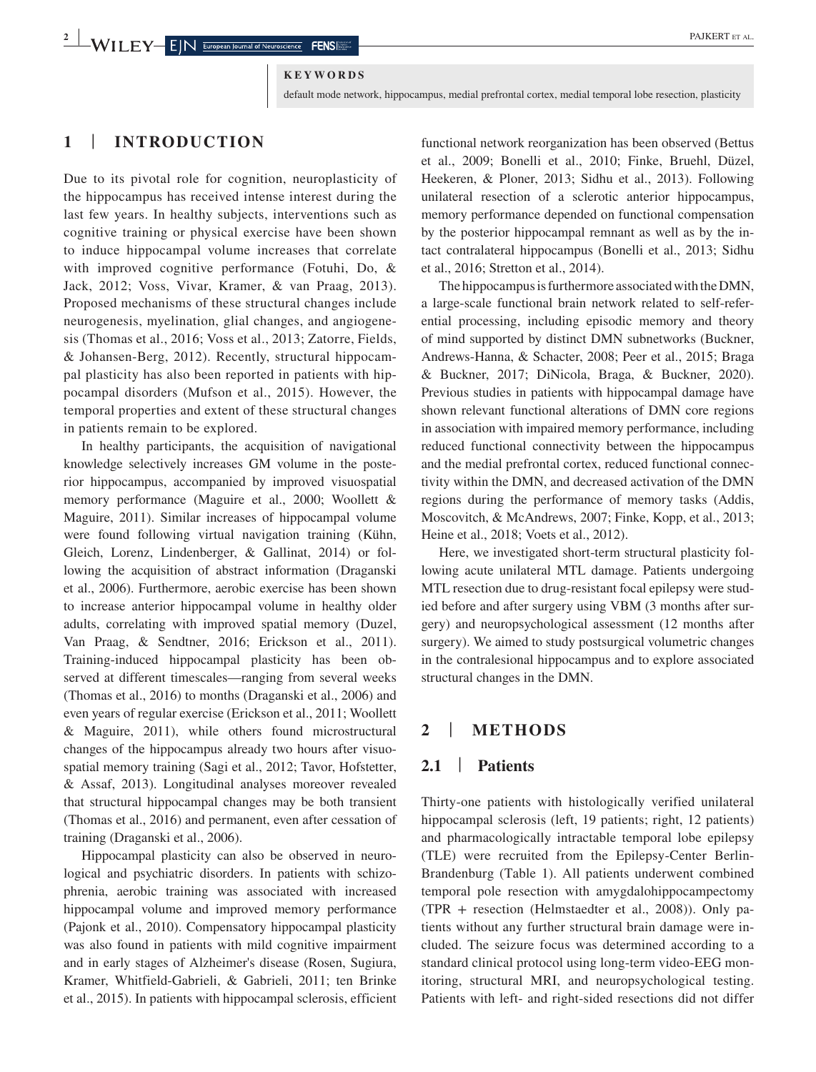### **KEYWORDS**

default mode network, hippocampus, medial prefrontal cortex, medial temporal lobe resection, plasticity

# **1** | **INTRODUCTION**

Due to its pivotal role for cognition, neuroplasticity of the hippocampus has received intense interest during the last few years. In healthy subjects, interventions such as cognitive training or physical exercise have been shown to induce hippocampal volume increases that correlate with improved cognitive performance (Fotuhi, Do, & Jack, 2012; Voss, Vivar, Kramer, & van Praag, 2013). Proposed mechanisms of these structural changes include neurogenesis, myelination, glial changes, and angiogenesis (Thomas et al., 2016; Voss et al., 2013; Zatorre, Fields, & Johansen-Berg, 2012). Recently, structural hippocampal plasticity has also been reported in patients with hippocampal disorders (Mufson et al., 2015). However, the temporal properties and extent of these structural changes in patients remain to be explored.

In healthy participants, the acquisition of navigational knowledge selectively increases GM volume in the posterior hippocampus, accompanied by improved visuospatial memory performance (Maguire et al., 2000; Woollett & Maguire, 2011). Similar increases of hippocampal volume were found following virtual navigation training (Kühn, Gleich, Lorenz, Lindenberger, & Gallinat, 2014) or following the acquisition of abstract information (Draganski et al., 2006). Furthermore, aerobic exercise has been shown to increase anterior hippocampal volume in healthy older adults, correlating with improved spatial memory (Duzel, Van Praag, & Sendtner, 2016; Erickson et al., 2011). Training-induced hippocampal plasticity has been observed at different timescales—ranging from several weeks (Thomas et al., 2016) to months (Draganski et al., 2006) and even years of regular exercise (Erickson et al., 2011; Woollett & Maguire, 2011), while others found microstructural changes of the hippocampus already two hours after visuospatial memory training (Sagi et al., 2012; Tavor, Hofstetter, & Assaf, 2013). Longitudinal analyses moreover revealed that structural hippocampal changes may be both transient (Thomas et al., 2016) and permanent, even after cessation of training (Draganski et al., 2006).

Hippocampal plasticity can also be observed in neurological and psychiatric disorders. In patients with schizophrenia, aerobic training was associated with increased hippocampal volume and improved memory performance (Pajonk et al., 2010). Compensatory hippocampal plasticity was also found in patients with mild cognitive impairment and in early stages of Alzheimer's disease (Rosen, Sugiura, Kramer, Whitfield-Gabrieli, & Gabrieli, 2011; ten Brinke et al., 2015). In patients with hippocampal sclerosis, efficient functional network reorganization has been observed (Bettus et al., 2009; Bonelli et al., 2010; Finke, Bruehl, Düzel, Heekeren, & Ploner, 2013; Sidhu et al., 2013). Following unilateral resection of a sclerotic anterior hippocampus, memory performance depended on functional compensation by the posterior hippocampal remnant as well as by the intact contralateral hippocampus (Bonelli et al., 2013; Sidhu et al., 2016; Stretton et al., 2014).

The hippocampus is furthermore associated with the DMN, a large-scale functional brain network related to self-referential processing, including episodic memory and theory of mind supported by distinct DMN subnetworks (Buckner, Andrews-Hanna, & Schacter, 2008; Peer et al., 2015; Braga & Buckner, 2017; DiNicola, Braga, & Buckner, 2020). Previous studies in patients with hippocampal damage have shown relevant functional alterations of DMN core regions in association with impaired memory performance, including reduced functional connectivity between the hippocampus and the medial prefrontal cortex, reduced functional connectivity within the DMN, and decreased activation of the DMN regions during the performance of memory tasks (Addis, Moscovitch, & McAndrews, 2007; Finke, Kopp, et al., 2013; Heine et al., 2018; Voets et al., 2012).

Here, we investigated short-term structural plasticity following acute unilateral MTL damage. Patients undergoing MTL resection due to drug-resistant focal epilepsy were studied before and after surgery using VBM (3 months after surgery) and neuropsychological assessment (12 months after surgery). We aimed to study postsurgical volumetric changes in the contralesional hippocampus and to explore associated structural changes in the DMN.

# **2** | **METHODS**

# **2.1** | **Patients**

Thirty-one patients with histologically verified unilateral hippocampal sclerosis (left, 19 patients; right, 12 patients) and pharmacologically intractable temporal lobe epilepsy (TLE) were recruited from the Epilepsy-Center Berlin-Brandenburg (Table 1). All patients underwent combined temporal pole resection with amygdalohippocampectomy  $(TPR + \text{resection}$  (Helmstaedter et al., 2008)). Only patients without any further structural brain damage were included. The seizure focus was determined according to a standard clinical protocol using long-term video-EEG monitoring, structural MRI, and neuropsychological testing. Patients with left- and right-sided resections did not differ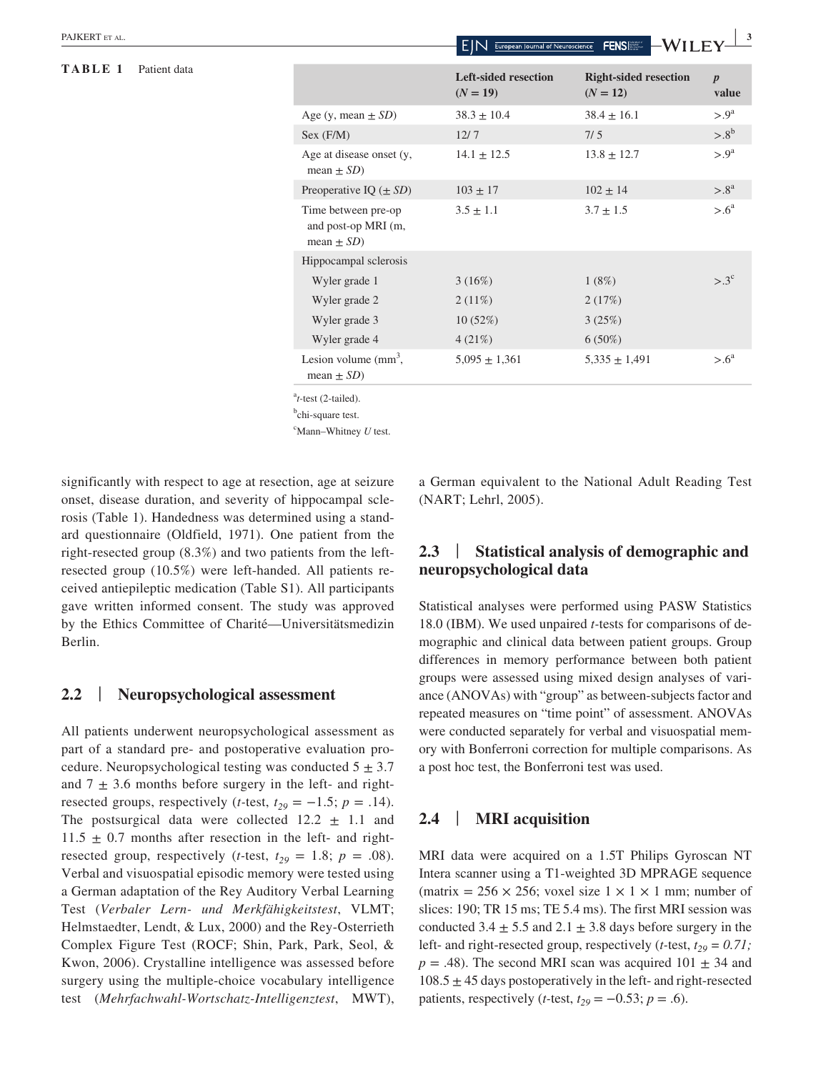### **TABLE 1** Patient data

|                                                               |                                           | <b>I</b> CITO ISSUE<br>* * 1 1 1 1 1       |                           |
|---------------------------------------------------------------|-------------------------------------------|--------------------------------------------|---------------------------|
|                                                               | <b>Left-sided resection</b><br>$(N = 19)$ | <b>Right-sided resection</b><br>$(N = 12)$ | $\boldsymbol{p}$<br>value |
| Age (y, mean $\pm SD$ )                                       | $38.3 \pm 10.4$                           | $38.4 \pm 16.1$                            | $> 0^a$                   |
| Sex (F/M)                                                     | 12/7                                      | 7/5                                        | $> 0.8^{\rm b}$           |
| Age at disease onset (y,<br>mean $\pm SD$ )                   | $14.1 \pm 12.5$                           | $13.8 \pm 12.7$                            | $> 0^a$                   |
| Preoperative IQ $(\pm SD)$                                    | $103 \pm 17$                              | $102 \pm 14$                               | $> 0.8^{\mathrm{a}}$      |
| Time between pre-op<br>and post-op MRI (m,<br>mean $\pm SD$ ) | $3.5 \pm 1.1$                             | $3.7 \pm 1.5$                              | $> 0.6^{\circ}$           |
| Hippocampal sclerosis                                         |                                           |                                            |                           |
| Wyler grade 1                                                 | 3(16%)                                    | 1(8%)                                      | $> 0.3^{\circ}$           |
| Wyler grade 2                                                 | $2(11\%)$                                 | 2(17%)                                     |                           |
| Wyler grade 3                                                 | 10(52%)                                   | 3(25%)                                     |                           |
| Wyler grade 4                                                 | 4(21%)                                    | $6(50\%)$                                  |                           |
| Lesion volume $\text{mm}^3$ ,<br>mean $\pm SD$ )              | $5,095 \pm 1,361$                         | $5,335 \pm 1,491$                          | $> 0^a$                   |

a *t-*test (2-tailed).

<sup>b</sup>chi-square test.

c Mann–Whitney *U* test.

significantly with respect to age at resection, age at seizure onset, disease duration, and severity of hippocampal sclerosis (Table 1). Handedness was determined using a standard questionnaire (Oldfield, 1971). One patient from the right-resected group (8.3%) and two patients from the leftresected group (10.5%) were left-handed. All patients received antiepileptic medication (Table S1). All participants gave written informed consent. The study was approved by the Ethics Committee of Charité—Universitätsmedizin Berlin.

## **2.2** | **Neuropsychological assessment**

All patients underwent neuropsychological assessment as part of a standard pre- and postoperative evaluation procedure. Neuropsychological testing was conducted  $5 \pm 3.7$ and  $7 \pm 3.6$  months before surgery in the left- and rightresected groups, respectively (*t*-test,  $t_{29} = -1.5$ ;  $p = .14$ ). The postsurgical data were collected  $12.2 \pm 1.1$  and  $11.5 \pm 0.7$  months after resection in the left- and rightresected group, respectively (*t*-test,  $t_{29} = 1.8$ ;  $p = .08$ ). Verbal and visuospatial episodic memory were tested using a German adaptation of the Rey Auditory Verbal Learning Test (*Verbaler Lern- und Merkfähigkeitstest*, VLMT; Helmstaedter, Lendt, & Lux, 2000) and the Rey-Osterrieth Complex Figure Test (ROCF; Shin, Park, Park, Seol, & Kwon, 2006). Crystalline intelligence was assessed before surgery using the multiple-choice vocabulary intelligence test (*Mehrfachwahl-Wortschatz-Intelligenztest*, MWT), a German equivalent to the National Adult Reading Test (NART; Lehrl, 2005).

# **2.3** | **Statistical analysis of demographic and neuropsychological data**

Statistical analyses were performed using PASW Statistics 18.0 (IBM). We used unpaired *t-*tests for comparisons of demographic and clinical data between patient groups. Group differences in memory performance between both patient groups were assessed using mixed design analyses of variance (ANOVAs) with "group" as between-subjects factor and repeated measures on "time point" of assessment. ANOVAs were conducted separately for verbal and visuospatial memory with Bonferroni correction for multiple comparisons. As a post hoc test, the Bonferroni test was used.

## **2.4** | **MRI acquisition**

MRI data were acquired on a 1.5T Philips Gyroscan NT Intera scanner using a T1-weighted 3D MPRAGE sequence (matrix =  $256 \times 256$ ; voxel size  $1 \times 1 \times 1$  mm; number of slices: 190; TR 15 ms; TE 5.4 ms). The first MRI session was conducted  $3.4 \pm 5.5$  and  $2.1 \pm 3.8$  days before surgery in the left- and right-resected group, respectively (*t*-test,  $t_{29} = 0.71$ ;  $p = .48$ ). The second MRI scan was acquired 101  $\pm$  34 and  $108.5 \pm 45$  days postoperatively in the left- and right-resected patients, respectively (*t*-test,  $t_{29} = -0.53$ ;  $p = .6$ ).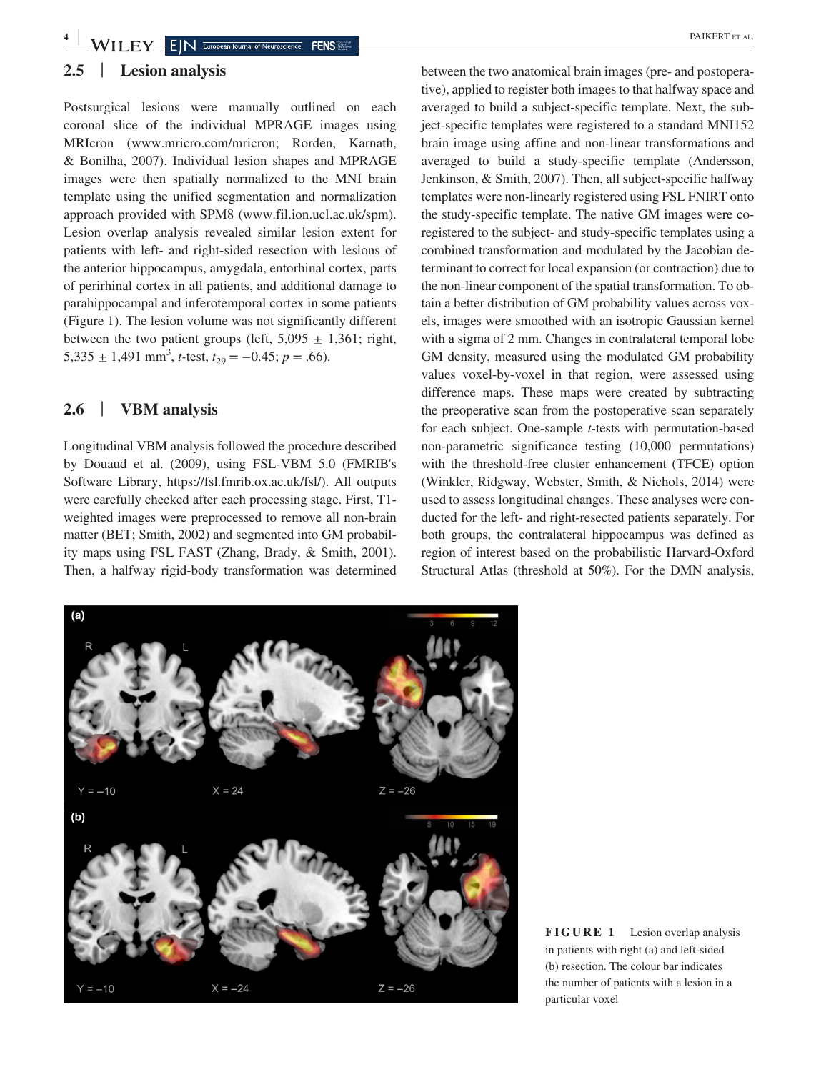# **4 WILEY** EIN European Journal of Neuroscience **FENS**

# **2.5** | **Lesion analysis**

Postsurgical lesions were manually outlined on each coronal slice of the individual MPRAGE images using MRIcron [\(www.mricro.com/mricron;](http://www.mricro.com/mricron) Rorden, Karnath, & Bonilha, 2007). Individual lesion shapes and MPRAGE images were then spatially normalized to the MNI brain template using the unified segmentation and normalization approach provided with SPM8 [\(www.fil.ion.ucl.ac.uk/spm\)](http://www.fil.ion.ucl.ac.uk/spm). Lesion overlap analysis revealed similar lesion extent for patients with left- and right-sided resection with lesions of the anterior hippocampus, amygdala, entorhinal cortex, parts of perirhinal cortex in all patients, and additional damage to parahippocampal and inferotemporal cortex in some patients (Figure 1). The lesion volume was not significantly different between the two patient groups (left,  $5,095 \pm 1,361$ ; right,  $5,335 \pm 1,491 \text{ mm}^3$ , *t*-test,  $t_{29} = -0.45$ ;  $p = .66$ ).

# **2.6** | **VBM analysis**

Longitudinal VBM analysis followed the procedure described by Douaud et al. (2009), using FSL-VBM 5.0 (FMRIB's Software Library, <https://fsl.fmrib.ox.ac.uk/fsl/>). All outputs were carefully checked after each processing stage. First, T1 weighted images were preprocessed to remove all non-brain matter (BET; Smith, 2002) and segmented into GM probability maps using FSL FAST (Zhang, Brady, & Smith, 2001). Then, a halfway rigid-body transformation was determined

between the two anatomical brain images (pre- and postoperative), applied to register both images to that halfway space and averaged to build a subject-specific template. Next, the subject-specific templates were registered to a standard MNI152 brain image using affine and non-linear transformations and averaged to build a study-specific template (Andersson, Jenkinson, & Smith, 2007). Then, all subject-specific halfway templates were non-linearly registered using FSL FNIRT onto the study-specific template. The native GM images were coregistered to the subject- and study-specific templates using a combined transformation and modulated by the Jacobian determinant to correct for local expansion (or contraction) due to the non-linear component of the spatial transformation. To obtain a better distribution of GM probability values across voxels, images were smoothed with an isotropic Gaussian kernel with a sigma of 2 mm. Changes in contralateral temporal lobe GM density, measured using the modulated GM probability values voxel-by-voxel in that region, were assessed using difference maps. These maps were created by subtracting the preoperative scan from the postoperative scan separately for each subject. One-sample *t-*tests with permutation-based non-parametric significance testing (10,000 permutations) with the threshold-free cluster enhancement (TFCE) option (Winkler, Ridgway, Webster, Smith, & Nichols, 2014) were used to assess longitudinal changes. These analyses were conducted for the left- and right-resected patients separately. For both groups, the contralateral hippocampus was defined as region of interest based on the probabilistic Harvard-Oxford Structural Atlas (threshold at 50%). For the DMN analysis,



**FIGURE 1** Lesion overlap analysis in patients with right (a) and left-sided (b) resection. The colour bar indicates the number of patients with a lesion in a particular voxel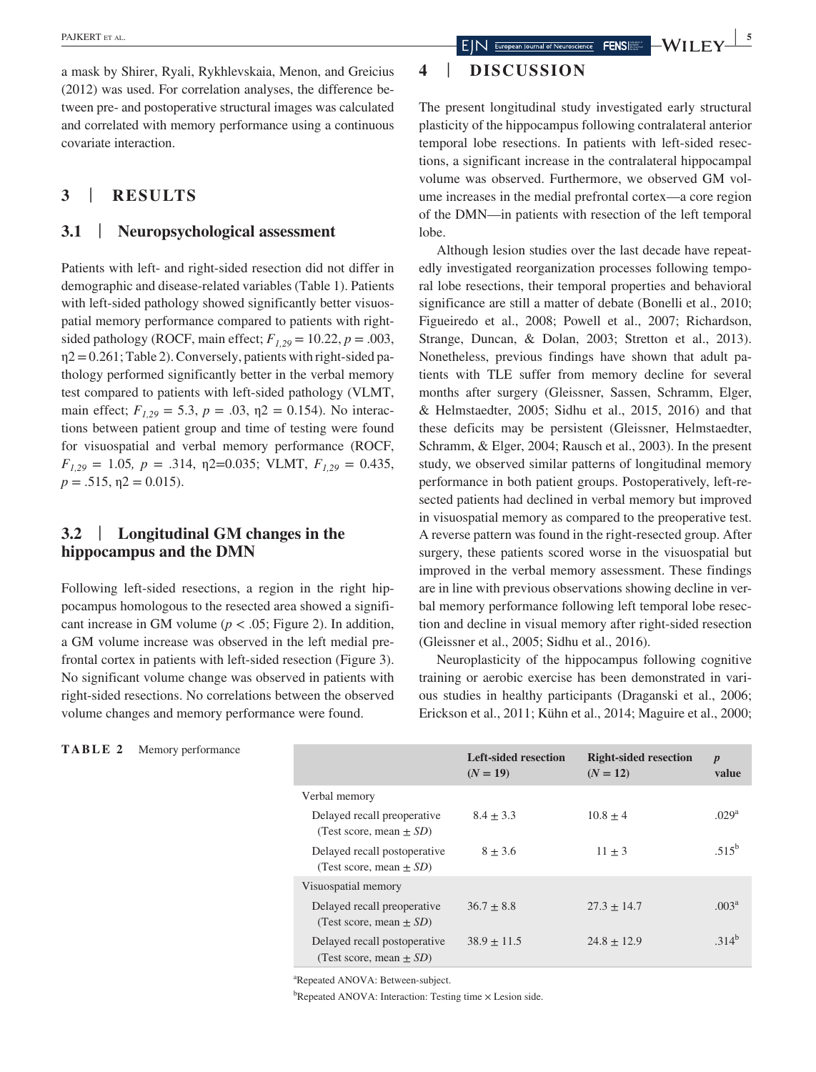a mask by Shirer, Ryali, Rykhlevskaia, Menon, and Greicius (2012) was used. For correlation analyses, the difference between pre- and postoperative structural images was calculated and correlated with memory performance using a continuous covariate interaction.

# **3** | **RESULTS**

### **3.1** | **Neuropsychological assessment**

Patients with left- and right-sided resection did not differ in demographic and disease-related variables (Table 1). Patients with left-sided pathology showed significantly better visuospatial memory performance compared to patients with rightsided pathology (ROCF, main effect;  $F_{1,29} = 10.22$ ,  $p = .003$ ,  $\eta$ 2 = 0.261; Table 2). Conversely, patients with right-sided pathology performed significantly better in the verbal memory test compared to patients with left-sided pathology (VLMT, main effect;  $F_{1,29} = 5.3$ ,  $p = .03$ ,  $p = 0.154$ ). No interactions between patient group and time of testing were found for visuospatial and verbal memory performance (ROCF,  $F_{1,29} = 1.05$ ,  $p = .314$ ,  $\eta$ 2=0.035; VLMT,  $F_{1,29} = 0.435$ ,  $p = .515$ ,  $p = 0.015$ ).

# **3.2** | **Longitudinal GM changes in the hippocampus and the DMN**

Following left-sided resections, a region in the right hippocampus homologous to the resected area showed a significant increase in GM volume ( $p < .05$ ; Figure 2). In addition, a GM volume increase was observed in the left medial prefrontal cortex in patients with left-sided resection (Figure 3). No significant volume change was observed in patients with right-sided resections. No correlations between the observed volume changes and memory performance were found.

# **4** | **DISCUSSION**

The present longitudinal study investigated early structural plasticity of the hippocampus following contralateral anterior temporal lobe resections. In patients with left-sided resections, a significant increase in the contralateral hippocampal volume was observed. Furthermore, we observed GM volume increases in the medial prefrontal cortex—a core region of the DMN—in patients with resection of the left temporal lobe.

Although lesion studies over the last decade have repeatedly investigated reorganization processes following temporal lobe resections, their temporal properties and behavioral significance are still a matter of debate (Bonelli et al., 2010; Figueiredo et al., 2008; Powell et al., 2007; Richardson, Strange, Duncan, & Dolan, 2003; Stretton et al., 2013). Nonetheless, previous findings have shown that adult patients with TLE suffer from memory decline for several months after surgery (Gleissner, Sassen, Schramm, Elger, & Helmstaedter, 2005; Sidhu et al., 2015, 2016) and that these deficits may be persistent (Gleissner, Helmstaedter, Schramm, & Elger, 2004; Rausch et al., 2003). In the present study, we observed similar patterns of longitudinal memory performance in both patient groups. Postoperatively, left-resected patients had declined in verbal memory but improved in visuospatial memory as compared to the preoperative test. A reverse pattern was found in the right-resected group. After surgery, these patients scored worse in the visuospatial but improved in the verbal memory assessment. These findings are in line with previous observations showing decline in verbal memory performance following left temporal lobe resection and decline in visual memory after right-sided resection (Gleissner et al., 2005; Sidhu et al., 2016).

Neuroplasticity of the hippocampus following cognitive training or aerobic exercise has been demonstrated in various studies in healthy participants (Draganski et al., 2006; Erickson et al., 2011; Kühn et al., 2014; Maguire et al., 2000;

|  |  | TABLE 2 |  | Memory performance |  |
|--|--|---------|--|--------------------|--|
|--|--|---------|--|--------------------|--|

|                                                              | <b>Left-sided resection</b><br>$(N = 19)$ | <b>Right-sided resection</b><br>$(N = 12)$ | $\boldsymbol{p}$<br>value |
|--------------------------------------------------------------|-------------------------------------------|--------------------------------------------|---------------------------|
| Verbal memory                                                |                                           |                                            |                           |
| Delayed recall preoperative<br>(Test score, mean $\pm SD$ )  | $8.4 + 3.3$                               | $10.8 + 4$                                 | .029 <sup>a</sup>         |
| Delayed recall postoperative<br>(Test score, mean $\pm SD$ ) | $8 + 3.6$                                 | $11 + 3$                                   | $.515^b$                  |
| Visuospatial memory                                          |                                           |                                            |                           |
| Delayed recall preoperative<br>(Test score, mean $\pm SD$ )  | $36.7 + 8.8$                              | $27.3 + 14.7$                              | .003 <sup>a</sup>         |
| Delayed recall postoperative<br>(Test score, mean $\pm SD$ ) | $38.9 + 11.5$                             | $24.8 + 12.9$                              | $314^{b}$                 |

a Repeated ANOVA: Between-subject.

<sup>b</sup>Repeated ANOVA: Interaction: Testing time × Lesion side.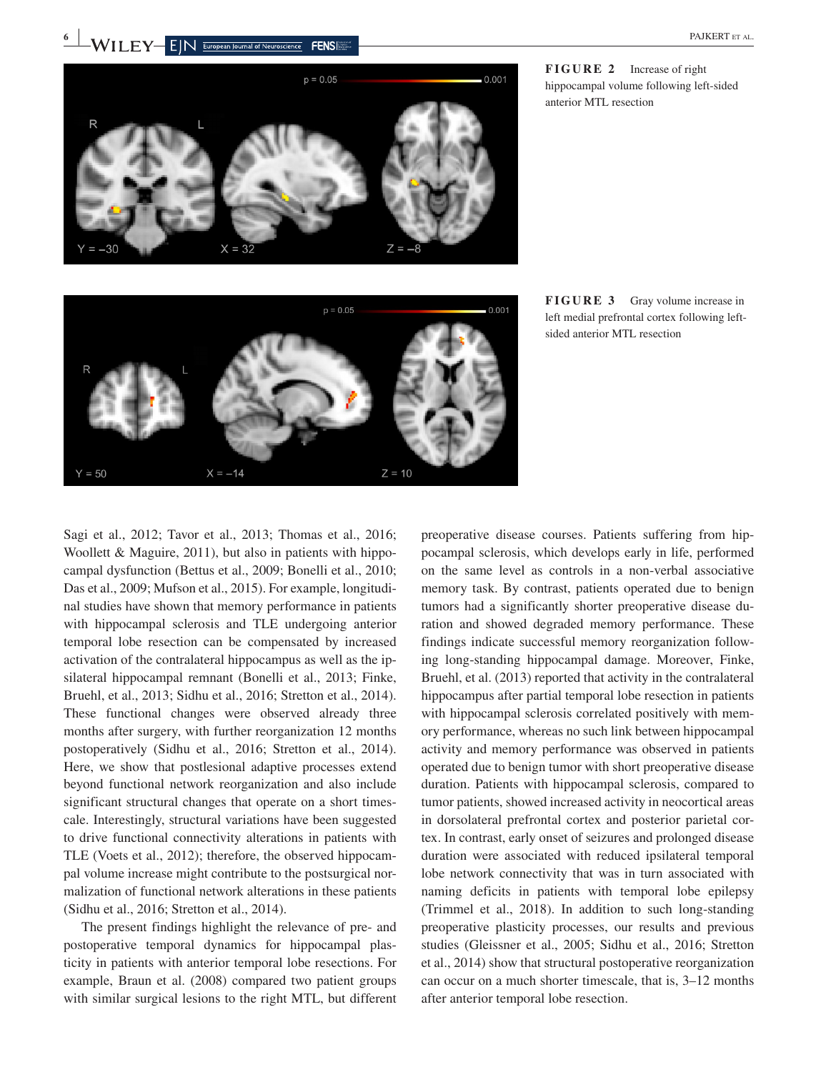

**FIGURE 2** Increase of right hippocampal volume following left-sided anterior MTL resection



**FIGURE 3** Gray volume increase in left medial prefrontal cortex following leftsided anterior MTL resection

Sagi et al., 2012; Tavor et al., 2013; Thomas et al., 2016; Woollett & Maguire, 2011), but also in patients with hippocampal dysfunction (Bettus et al., 2009; Bonelli et al., 2010; Das et al., 2009; Mufson et al., 2015). For example, longitudinal studies have shown that memory performance in patients with hippocampal sclerosis and TLE undergoing anterior temporal lobe resection can be compensated by increased activation of the contralateral hippocampus as well as the ipsilateral hippocampal remnant (Bonelli et al., 2013; Finke, Bruehl, et al., 2013; Sidhu et al., 2016; Stretton et al., 2014). These functional changes were observed already three months after surgery, with further reorganization 12 months postoperatively (Sidhu et al., 2016; Stretton et al., 2014). Here, we show that postlesional adaptive processes extend beyond functional network reorganization and also include significant structural changes that operate on a short timescale. Interestingly, structural variations have been suggested to drive functional connectivity alterations in patients with TLE (Voets et al., 2012); therefore, the observed hippocampal volume increase might contribute to the postsurgical normalization of functional network alterations in these patients (Sidhu et al., 2016; Stretton et al., 2014).

The present findings highlight the relevance of pre- and postoperative temporal dynamics for hippocampal plasticity in patients with anterior temporal lobe resections. For example, Braun et al. (2008) compared two patient groups with similar surgical lesions to the right MTL, but different

preoperative disease courses. Patients suffering from hippocampal sclerosis, which develops early in life, performed on the same level as controls in a non-verbal associative memory task. By contrast, patients operated due to benign tumors had a significantly shorter preoperative disease duration and showed degraded memory performance. These findings indicate successful memory reorganization following long-standing hippocampal damage. Moreover, Finke, Bruehl, et al. (2013) reported that activity in the contralateral hippocampus after partial temporal lobe resection in patients with hippocampal sclerosis correlated positively with memory performance, whereas no such link between hippocampal activity and memory performance was observed in patients operated due to benign tumor with short preoperative disease duration. Patients with hippocampal sclerosis, compared to tumor patients, showed increased activity in neocortical areas in dorsolateral prefrontal cortex and posterior parietal cortex. In contrast, early onset of seizures and prolonged disease duration were associated with reduced ipsilateral temporal lobe network connectivity that was in turn associated with naming deficits in patients with temporal lobe epilepsy (Trimmel et al., 2018). In addition to such long-standing preoperative plasticity processes, our results and previous studies (Gleissner et al., 2005; Sidhu et al., 2016; Stretton et al., 2014) show that structural postoperative reorganization can occur on a much shorter timescale, that is, 3–12 months after anterior temporal lobe resection.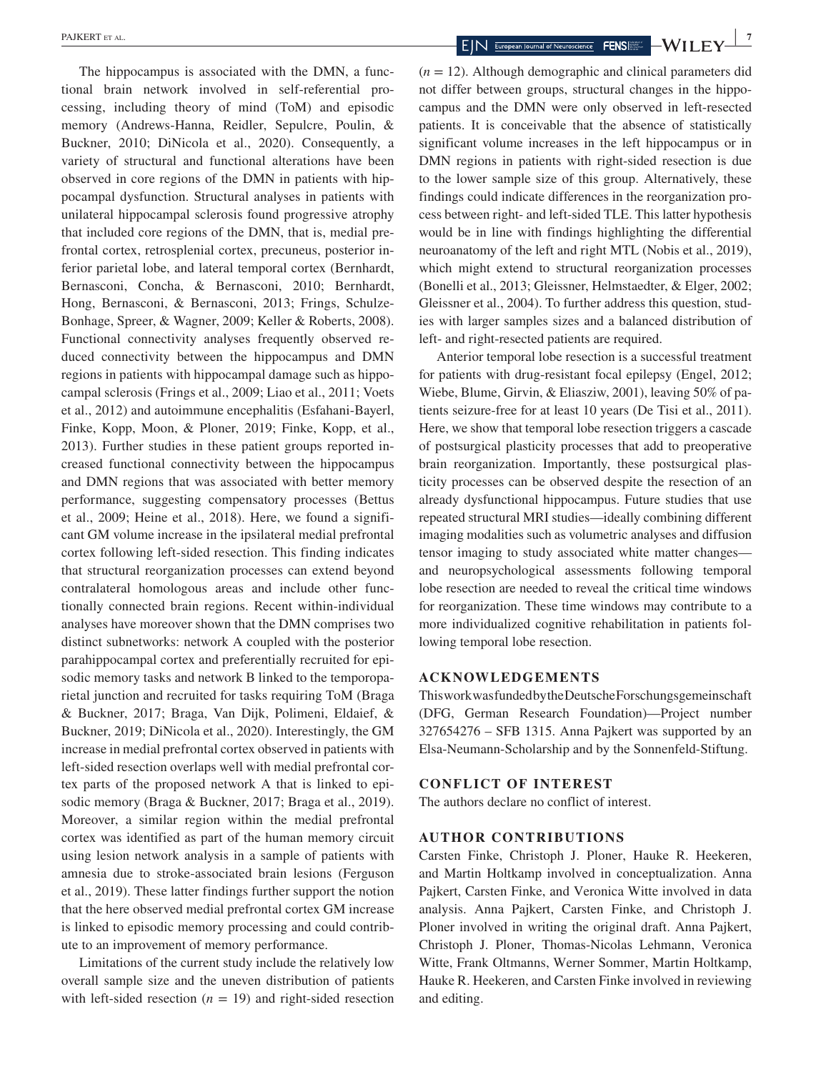The hippocampus is associated with the DMN, a functional brain network involved in self-referential processing, including theory of mind (ToM) and episodic memory (Andrews-Hanna, Reidler, Sepulcre, Poulin, & Buckner, 2010; DiNicola et al., 2020). Consequently, a variety of structural and functional alterations have been observed in core regions of the DMN in patients with hippocampal dysfunction. Structural analyses in patients with unilateral hippocampal sclerosis found progressive atrophy that included core regions of the DMN, that is, medial prefrontal cortex, retrosplenial cortex, precuneus, posterior inferior parietal lobe, and lateral temporal cortex (Bernhardt, Bernasconi, Concha, & Bernasconi, 2010; Bernhardt, Hong, Bernasconi, & Bernasconi, 2013; Frings, Schulze-Bonhage, Spreer, & Wagner, 2009; Keller & Roberts, 2008). Functional connectivity analyses frequently observed reduced connectivity between the hippocampus and DMN regions in patients with hippocampal damage such as hippocampal sclerosis (Frings et al., 2009; Liao et al., 2011; Voets et al., 2012) and autoimmune encephalitis (Esfahani-Bayerl, Finke, Kopp, Moon, & Ploner, 2019; Finke, Kopp, et al., 2013). Further studies in these patient groups reported increased functional connectivity between the hippocampus and DMN regions that was associated with better memory performance, suggesting compensatory processes (Bettus et al., 2009; Heine et al., 2018). Here, we found a significant GM volume increase in the ipsilateral medial prefrontal cortex following left-sided resection. This finding indicates that structural reorganization processes can extend beyond contralateral homologous areas and include other functionally connected brain regions. Recent within-individual analyses have moreover shown that the DMN comprises two distinct subnetworks: network A coupled with the posterior parahippocampal cortex and preferentially recruited for episodic memory tasks and network B linked to the temporoparietal junction and recruited for tasks requiring ToM (Braga & Buckner, 2017; Braga, Van Dijk, Polimeni, Eldaief, & Buckner, 2019; DiNicola et al., 2020). Interestingly, the GM increase in medial prefrontal cortex observed in patients with left-sided resection overlaps well with medial prefrontal cortex parts of the proposed network A that is linked to episodic memory (Braga & Buckner, 2017; Braga et al., 2019). Moreover, a similar region within the medial prefrontal cortex was identified as part of the human memory circuit using lesion network analysis in a sample of patients with amnesia due to stroke-associated brain lesions (Ferguson et al., 2019). These latter findings further support the notion that the here observed medial prefrontal cortex GM increase is linked to episodic memory processing and could contribute to an improvement of memory performance.

Limitations of the current study include the relatively low overall sample size and the uneven distribution of patients with left-sided resection  $(n = 19)$  and right-sided resection

 $(n = 12)$ . Although demographic and clinical parameters did not differ between groups, structural changes in the hippocampus and the DMN were only observed in left-resected patients. It is conceivable that the absence of statistically significant volume increases in the left hippocampus or in DMN regions in patients with right-sided resection is due to the lower sample size of this group. Alternatively, these findings could indicate differences in the reorganization process between right- and left-sided TLE. This latter hypothesis would be in line with findings highlighting the differential neuroanatomy of the left and right MTL (Nobis et al., 2019), which might extend to structural reorganization processes (Bonelli et al., 2013; Gleissner, Helmstaedter, & Elger, 2002; Gleissner et al., 2004). To further address this question, studies with larger samples sizes and a balanced distribution of left- and right-resected patients are required.

Anterior temporal lobe resection is a successful treatment for patients with drug-resistant focal epilepsy (Engel, 2012; Wiebe, Blume, Girvin, & Eliasziw, 2001), leaving 50% of patients seizure-free for at least 10 years (De Tisi et al., 2011). Here, we show that temporal lobe resection triggers a cascade of postsurgical plasticity processes that add to preoperative brain reorganization. Importantly, these postsurgical plasticity processes can be observed despite the resection of an already dysfunctional hippocampus. Future studies that use repeated structural MRI studies—ideally combining different imaging modalities such as volumetric analyses and diffusion tensor imaging to study associated white matter changes and neuropsychological assessments following temporal lobe resection are needed to reveal the critical time windows for reorganization. These time windows may contribute to a more individualized cognitive rehabilitation in patients following temporal lobe resection.

### **ACKNOWLEDGEMENTS**

This work was funded by the Deutsche Forschungsgemeinschaft (DFG, German Research Foundation)—Project number 327654276 – SFB 1315. Anna Pajkert was supported by an Elsa-Neumann-Scholarship and by the Sonnenfeld-Stiftung.

### **CONFLICT OF INTEREST**

The authors declare no conflict of interest.

# **AUTHOR CONTRIBUTIONS**

Carsten Finke, Christoph J. Ploner, Hauke R. Heekeren, and Martin Holtkamp involved in conceptualization. Anna Pajkert, Carsten Finke, and Veronica Witte involved in data analysis. Anna Pajkert, Carsten Finke, and Christoph J. Ploner involved in writing the original draft. Anna Pajkert, Christoph J. Ploner, Thomas-Nicolas Lehmann, Veronica Witte, Frank Oltmanns, Werner Sommer, Martin Holtkamp, Hauke R. Heekeren, and Carsten Finke involved in reviewing and editing.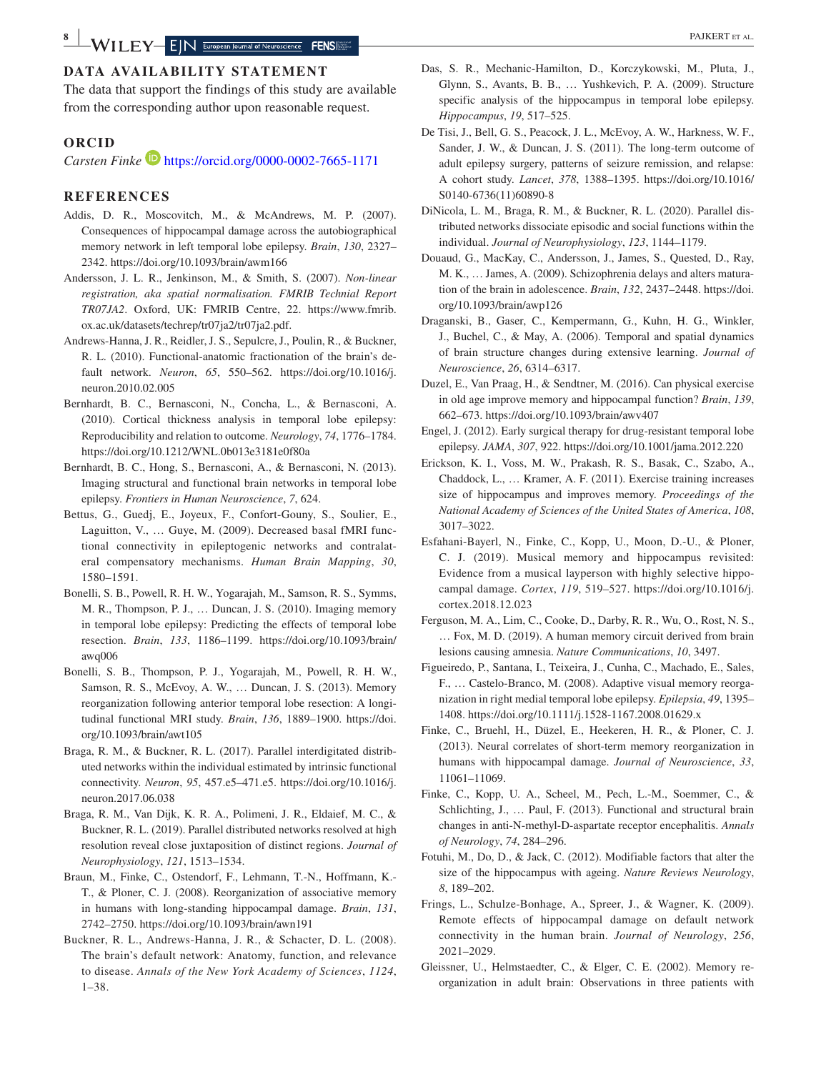The data that support the findings of this study are available from the corresponding author upon reasonable request.

### **ORCID**

*Carsten Finke* **<https://orcid.org/0000-0002-7665-1171>** 

### **REFERENCES**

- Addis, D. R., Moscovitch, M., & McAndrews, M. P. (2007). Consequences of hippocampal damage across the autobiographical memory network in left temporal lobe epilepsy. *Brain*, *130*, 2327– 2342. <https://doi.org/10.1093/brain/awm166>
- Andersson, J. L. R., Jenkinson, M., & Smith, S. (2007). *Non-linear registration, aka spatial normalisation. FMRIB Technial Report TR07JA2*. Oxford, UK: FMRIB Centre, 22. [https://www.fmrib.](https://www.fmrib.ox.ac.uk/datasets/techrep/tr07ja2/tr07ja2.pdf) [ox.ac.uk/datasets/techrep/tr07ja2/tr07ja2.pdf.](https://www.fmrib.ox.ac.uk/datasets/techrep/tr07ja2/tr07ja2.pdf)
- Andrews-Hanna, J. R., Reidler, J. S., Sepulcre, J., Poulin, R., & Buckner, R. L. (2010). Functional-anatomic fractionation of the brain's default network. *Neuron*, *65*, 550–562. [https://doi.org/10.1016/j.](https://doi.org/10.1016/j.neuron.2010.02.005) [neuron.2010.02.005](https://doi.org/10.1016/j.neuron.2010.02.005)
- Bernhardt, B. C., Bernasconi, N., Concha, L., & Bernasconi, A. (2010). Cortical thickness analysis in temporal lobe epilepsy: Reproducibility and relation to outcome. *Neurology*, *74*, 1776–1784. <https://doi.org/10.1212/WNL.0b013e3181e0f80a>
- Bernhardt, B. C., Hong, S., Bernasconi, A., & Bernasconi, N. (2013). Imaging structural and functional brain networks in temporal lobe epilepsy. *Frontiers in Human Neuroscience*, *7*, 624.
- Bettus, G., Guedj, E., Joyeux, F., Confort-Gouny, S., Soulier, E., Laguitton, V., … Guye, M. (2009). Decreased basal fMRI functional connectivity in epileptogenic networks and contralateral compensatory mechanisms. *Human Brain Mapping*, *30*, 1580–1591.
- Bonelli, S. B., Powell, R. H. W., Yogarajah, M., Samson, R. S., Symms, M. R., Thompson, P. J., … Duncan, J. S. (2010). Imaging memory in temporal lobe epilepsy: Predicting the effects of temporal lobe resection. *Brain*, *133*, 1186–1199. [https://doi.org/10.1093/brain/](https://doi.org/10.1093/brain/awq006) [awq006](https://doi.org/10.1093/brain/awq006)
- Bonelli, S. B., Thompson, P. J., Yogarajah, M., Powell, R. H. W., Samson, R. S., McEvoy, A. W., … Duncan, J. S. (2013). Memory reorganization following anterior temporal lobe resection: A longitudinal functional MRI study. *Brain*, *136*, 1889–1900. [https://doi.](https://doi.org/10.1093/brain/awt105) [org/10.1093/brain/awt105](https://doi.org/10.1093/brain/awt105)
- Braga, R. M., & Buckner, R. L. (2017). Parallel interdigitated distributed networks within the individual estimated by intrinsic functional connectivity. *Neuron*, *95*, 457.e5–471.e5. [https://doi.org/10.1016/j.](https://doi.org/10.1016/j.neuron.2017.06.038) [neuron.2017.06.038](https://doi.org/10.1016/j.neuron.2017.06.038)
- Braga, R. M., Van Dijk, K. R. A., Polimeni, J. R., Eldaief, M. C., & Buckner, R. L. (2019). Parallel distributed networks resolved at high resolution reveal close juxtaposition of distinct regions. *Journal of Neurophysiology*, *121*, 1513–1534.
- Braun, M., Finke, C., Ostendorf, F., Lehmann, T.-N., Hoffmann, K.- T., & Ploner, C. J. (2008). Reorganization of associative memory in humans with long-standing hippocampal damage. *Brain*, *131*, 2742–2750. <https://doi.org/10.1093/brain/awn191>
- Buckner, R. L., Andrews-Hanna, J. R., & Schacter, D. L. (2008). The brain's default network: Anatomy, function, and relevance to disease. *Annals of the New York Academy of Sciences*, *1124*, 1–38.
- Das, S. R., Mechanic-Hamilton, D., Korczykowski, M., Pluta, J., Glynn, S., Avants, B. B., … Yushkevich, P. A. (2009). Structure specific analysis of the hippocampus in temporal lobe epilepsy. *Hippocampus*, *19*, 517–525.
- De Tisi, J., Bell, G. S., Peacock, J. L., McEvoy, A. W., Harkness, W. F., Sander, J. W., & Duncan, J. S. (2011). The long-term outcome of adult epilepsy surgery, patterns of seizure remission, and relapse: A cohort study. *Lancet*, *378*, 1388–1395. [https://doi.org/10.1016/](https://doi.org/10.1016/S0140-6736(11)60890-8) [S0140-6736\(11\)60890-8](https://doi.org/10.1016/S0140-6736(11)60890-8)
- DiNicola, L. M., Braga, R. M., & Buckner, R. L. (2020). Parallel distributed networks dissociate episodic and social functions within the individual. *Journal of Neurophysiology*, *123*, 1144–1179.
- Douaud, G., MacKay, C., Andersson, J., James, S., Quested, D., Ray, M. K., … James, A. (2009). Schizophrenia delays and alters maturation of the brain in adolescence. *Brain*, *132*, 2437–2448. [https://doi.](https://doi.org/10.1093/brain/awp126) [org/10.1093/brain/awp126](https://doi.org/10.1093/brain/awp126)
- Draganski, B., Gaser, C., Kempermann, G., Kuhn, H. G., Winkler, J., Buchel, C., & May, A. (2006). Temporal and spatial dynamics of brain structure changes during extensive learning. *Journal of Neuroscience*, *26*, 6314–6317.
- Duzel, E., Van Praag, H., & Sendtner, M. (2016). Can physical exercise in old age improve memory and hippocampal function? *Brain*, *139*, 662–673.<https://doi.org/10.1093/brain/awv407>
- Engel, J. (2012). Early surgical therapy for drug-resistant temporal lobe epilepsy. *JAMA*, *307*, 922. <https://doi.org/10.1001/jama.2012.220>
- Erickson, K. I., Voss, M. W., Prakash, R. S., Basak, C., Szabo, A., Chaddock, L., … Kramer, A. F. (2011). Exercise training increases size of hippocampus and improves memory. *Proceedings of the National Academy of Sciences of the United States of America*, *108*, 3017–3022.
- Esfahani-Bayerl, N., Finke, C., Kopp, U., Moon, D.-U., & Ploner, C. J. (2019). Musical memory and hippocampus revisited: Evidence from a musical layperson with highly selective hippocampal damage. *Cortex*, *119*, 519–527. [https://doi.org/10.1016/j.](https://doi.org/10.1016/j.cortex.2018.12.023) [cortex.2018.12.023](https://doi.org/10.1016/j.cortex.2018.12.023)
- Ferguson, M. A., Lim, C., Cooke, D., Darby, R. R., Wu, O., Rost, N. S., … Fox, M. D. (2019). A human memory circuit derived from brain lesions causing amnesia. *Nature Communications*, *10*, 3497.
- Figueiredo, P., Santana, I., Teixeira, J., Cunha, C., Machado, E., Sales, F., … Castelo-Branco, M. (2008). Adaptive visual memory reorganization in right medial temporal lobe epilepsy. *Epilepsia*, *49*, 1395– 1408. <https://doi.org/10.1111/j.1528-1167.2008.01629.x>
- Finke, C., Bruehl, H., Düzel, E., Heekeren, H. R., & Ploner, C. J. (2013). Neural correlates of short-term memory reorganization in humans with hippocampal damage. *Journal of Neuroscience*, *33*, 11061–11069.
- Finke, C., Kopp, U. A., Scheel, M., Pech, L.-M., Soemmer, C., & Schlichting, J., … Paul, F. (2013). Functional and structural brain changes in anti-N-methyl-D-aspartate receptor encephalitis. *Annals of Neurology*, *74*, 284–296.
- Fotuhi, M., Do, D., & Jack, C. (2012). Modifiable factors that alter the size of the hippocampus with ageing. *Nature Reviews Neurology*, *8*, 189–202.
- Frings, L., Schulze-Bonhage, A., Spreer, J., & Wagner, K. (2009). Remote effects of hippocampal damage on default network connectivity in the human brain. *Journal of Neurology*, *256*, 2021–2029.
- Gleissner, U., Helmstaedter, C., & Elger, C. E. (2002). Memory reorganization in adult brain: Observations in three patients with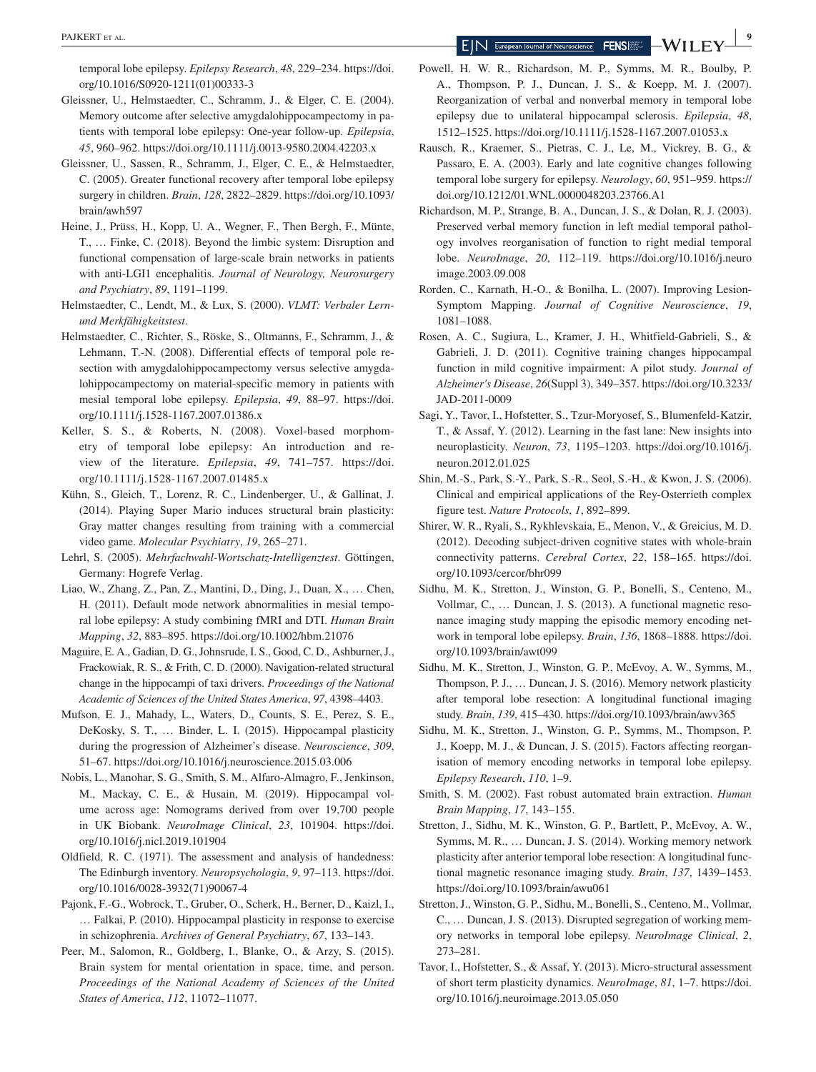temporal lobe epilepsy. *Epilepsy Research*, *48*, 229–234. [https://doi.](https://doi.org/10.1016/S0920-1211(01)00333-3) [org/10.1016/S0920-1211\(01\)00333-3](https://doi.org/10.1016/S0920-1211(01)00333-3)

- Gleissner, U., Helmstaedter, C., Schramm, J., & Elger, C. E. (2004). Memory outcome after selective amygdalohippocampectomy in patients with temporal lobe epilepsy: One-year follow-up. *Epilepsia*, *45*, 960–962. <https://doi.org/10.1111/j.0013-9580.2004.42203.x>
- Gleissner, U., Sassen, R., Schramm, J., Elger, C. E., & Helmstaedter, C. (2005). Greater functional recovery after temporal lobe epilepsy surgery in children. *Brain*, *128*, 2822–2829. [https://doi.org/10.1093/](https://doi.org/10.1093/brain/awh597) [brain/awh597](https://doi.org/10.1093/brain/awh597)
- Heine, J., Prüss, H., Kopp, U. A., Wegner, F., Then Bergh, F., Münte, T., … Finke, C. (2018). Beyond the limbic system: Disruption and functional compensation of large-scale brain networks in patients with anti-LGI1 encephalitis. *Journal of Neurology, Neurosurgery and Psychiatry*, *89*, 1191–1199.
- Helmstaedter, C., Lendt, M., & Lux, S. (2000). *VLMT: Verbaler Lernund Merkfähigkeitstest*.
- Helmstaedter, C., Richter, S., Röske, S., Oltmanns, F., Schramm, J., & Lehmann, T.-N. (2008). Differential effects of temporal pole resection with amygdalohippocampectomy versus selective amygdalohippocampectomy on material-specific memory in patients with mesial temporal lobe epilepsy. *Epilepsia*, *49*, 88–97. [https://doi.](https://doi.org/10.1111/j.1528-1167.2007.01386.x) [org/10.1111/j.1528-1167.2007.01386.x](https://doi.org/10.1111/j.1528-1167.2007.01386.x)
- Keller, S. S., & Roberts, N. (2008). Voxel-based morphometry of temporal lobe epilepsy: An introduction and review of the literature. *Epilepsia*, *49*, 741–757. [https://doi.](https://doi.org/10.1111/j.1528-1167.2007.01485.x) [org/10.1111/j.1528-1167.2007.01485.x](https://doi.org/10.1111/j.1528-1167.2007.01485.x)
- Kühn, S., Gleich, T., Lorenz, R. C., Lindenberger, U., & Gallinat, J. (2014). Playing Super Mario induces structural brain plasticity: Gray matter changes resulting from training with a commercial video game. *Molecular Psychiatry*, *19*, 265–271.
- Lehrl, S. (2005). *Mehrfachwahl-Wortschatz-Intelligenztest*. Göttingen, Germany: Hogrefe Verlag.
- Liao, W., Zhang, Z., Pan, Z., Mantini, D., Ding, J., Duan, X., … Chen, H. (2011). Default mode network abnormalities in mesial temporal lobe epilepsy: A study combining fMRI and DTI. *Human Brain Mapping*, *32*, 883–895. <https://doi.org/10.1002/hbm.21076>
- Maguire, E. A., Gadian, D. G., Johnsrude, I. S., Good, C. D., Ashburner, J., Frackowiak, R. S., & Frith, C. D. (2000). Navigation-related structural change in the hippocampi of taxi drivers. *Proceedings of the National Academic of Sciences of the United States America*, *97*, 4398–4403.
- Mufson, E. J., Mahady, L., Waters, D., Counts, S. E., Perez, S. E., DeKosky, S. T., … Binder, L. I. (2015). Hippocampal plasticity during the progression of Alzheimer's disease. *Neuroscience*, *309*, 51–67.<https://doi.org/10.1016/j.neuroscience.2015.03.006>
- Nobis, L., Manohar, S. G., Smith, S. M., Alfaro-Almagro, F., Jenkinson, M., Mackay, C. E., & Husain, M. (2019). Hippocampal volume across age: Nomograms derived from over 19,700 people in UK Biobank. *NeuroImage Clinical*, *23*, 101904. [https://doi.](https://doi.org/10.1016/j.nicl.2019.101904) [org/10.1016/j.nicl.2019.101904](https://doi.org/10.1016/j.nicl.2019.101904)
- Oldfield, R. C. (1971). The assessment and analysis of handedness: The Edinburgh inventory. *Neuropsychologia*, *9*, 97–113. [https://doi.](https://doi.org/10.1016/0028-3932(71)90067-4) [org/10.1016/0028-3932\(71\)90067-4](https://doi.org/10.1016/0028-3932(71)90067-4)
- Pajonk, F.-G., Wobrock, T., Gruber, O., Scherk, H., Berner, D., Kaizl, I., … Falkai, P. (2010). Hippocampal plasticity in response to exercise in schizophrenia. *Archives of General Psychiatry*, *67*, 133–143.
- Peer, M., Salomon, R., Goldberg, I., Blanke, O., & Arzy, S. (2015). Brain system for mental orientation in space, time, and person. *Proceedings of the National Academy of Sciences of the United States of America*, *112*, 11072–11077.
- Powell, H. W. R., Richardson, M. P., Symms, M. R., Boulby, P. A., Thompson, P. J., Duncan, J. S., & Koepp, M. J. (2007). Reorganization of verbal and nonverbal memory in temporal lobe epilepsy due to unilateral hippocampal sclerosis. *Epilepsia*, *48*, 1512–1525.<https://doi.org/10.1111/j.1528-1167.2007.01053.x>
- Rausch, R., Kraemer, S., Pietras, C. J., Le, M., Vickrey, B. G., & Passaro, E. A. (2003). Early and late cognitive changes following temporal lobe surgery for epilepsy. *Neurology*, *60*, 951–959. [https://](https://doi.org/10.1212/01.WNL.0000048203.23766.A1) [doi.org/10.1212/01.WNL.0000048203.23766.A1](https://doi.org/10.1212/01.WNL.0000048203.23766.A1)
- Richardson, M. P., Strange, B. A., Duncan, J. S., & Dolan, R. J. (2003). Preserved verbal memory function in left medial temporal pathology involves reorganisation of function to right medial temporal lobe. *NeuroImage*, *20*, 112–119. [https://doi.org/10.1016/j.neuro](https://doi.org/10.1016/j.neuroimage.2003.09.008) [image.2003.09.008](https://doi.org/10.1016/j.neuroimage.2003.09.008)
- Rorden, C., Karnath, H.-O., & Bonilha, L. (2007). Improving Lesion-Symptom Mapping. *Journal of Cognitive Neuroscience*, *19*, 1081–1088.
- Rosen, A. C., Sugiura, L., Kramer, J. H., Whitfield-Gabrieli, S., & Gabrieli, J. D. (2011). Cognitive training changes hippocampal function in mild cognitive impairment: A pilot study. *Journal of Alzheimer's Disease*, *26*(Suppl 3), 349–357. [https://doi.org/10.3233/](https://doi.org/10.3233/JAD-2011-0009) [JAD-2011-0009](https://doi.org/10.3233/JAD-2011-0009)
- Sagi, Y., Tavor, I., Hofstetter, S., Tzur-Moryosef, S., Blumenfeld-Katzir, T., & Assaf, Y. (2012). Learning in the fast lane: New insights into neuroplasticity. *Neuron*, *73*, 1195–1203. [https://doi.org/10.1016/j.](https://doi.org/10.1016/j.neuron.2012.01.025) [neuron.2012.01.025](https://doi.org/10.1016/j.neuron.2012.01.025)
- Shin, M.-S., Park, S.-Y., Park, S.-R., Seol, S.-H., & Kwon, J. S. (2006). Clinical and empirical applications of the Rey-Osterrieth complex figure test. *Nature Protocols*, *1*, 892–899.
- Shirer, W. R., Ryali, S., Rykhlevskaia, E., Menon, V., & Greicius, M. D. (2012). Decoding subject-driven cognitive states with whole-brain connectivity patterns. *Cerebral Cortex*, *22*, 158–165. [https://doi.](https://doi.org/10.1093/cercor/bhr099) [org/10.1093/cercor/bhr099](https://doi.org/10.1093/cercor/bhr099)
- Sidhu, M. K., Stretton, J., Winston, G. P., Bonelli, S., Centeno, M., Vollmar, C., … Duncan, J. S. (2013). A functional magnetic resonance imaging study mapping the episodic memory encoding network in temporal lobe epilepsy. *Brain*, *136*, 1868–1888. [https://doi.](https://doi.org/10.1093/brain/awt099) [org/10.1093/brain/awt099](https://doi.org/10.1093/brain/awt099)
- Sidhu, M. K., Stretton, J., Winston, G. P., McEvoy, A. W., Symms, M., Thompson, P. J., … Duncan, J. S. (2016). Memory network plasticity after temporal lobe resection: A longitudinal functional imaging study. *Brain*, *139*, 415–430.<https://doi.org/10.1093/brain/awv365>
- Sidhu, M. K., Stretton, J., Winston, G. P., Symms, M., Thompson, P. J., Koepp, M. J., & Duncan, J. S. (2015). Factors affecting reorganisation of memory encoding networks in temporal lobe epilepsy. *Epilepsy Research*, *110*, 1–9.
- Smith, S. M. (2002). Fast robust automated brain extraction. *Human Brain Mapping*, *17*, 143–155.
- Stretton, J., Sidhu, M. K., Winston, G. P., Bartlett, P., McEvoy, A. W., Symms, M. R., … Duncan, J. S. (2014). Working memory network plasticity after anterior temporal lobe resection: A longitudinal functional magnetic resonance imaging study. *Brain*, *137*, 1439–1453. <https://doi.org/10.1093/brain/awu061>
- Stretton, J., Winston, G. P., Sidhu, M., Bonelli, S., Centeno, M., Vollmar, C., … Duncan, J. S. (2013). Disrupted segregation of working memory networks in temporal lobe epilepsy. *NeuroImage Clinical*, *2*, 273–281.
- Tavor, I., Hofstetter, S., & Assaf, Y. (2013). Micro-structural assessment of short term plasticity dynamics. *NeuroImage*, *81*, 1–7. [https://doi.](https://doi.org/10.1016/j.neuroimage.2013.05.050) [org/10.1016/j.neuroimage.2013.05.050](https://doi.org/10.1016/j.neuroimage.2013.05.050)